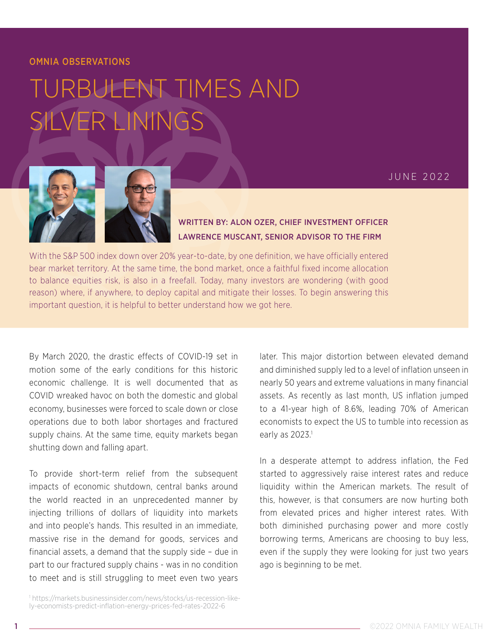## OMNIA OBSERVATIONS

## TURBULENT TIMES AND SILVER LININGS



WRITTEN BY: ALON OZER, CHIEF INVESTMENT OFFICER LAWRENCE MUSCANT, SENIOR ADVISOR TO THE FIRM

With the S&P 500 index down over 20% year-to-date, by one definition, we have officially entered bear market territory. At the same time, the bond market, once a faithful fixed income allocation to balance equities risk, is also in a freefall. Today, many investors are wondering (with good reason) where, if anywhere, to deploy capital and mitigate their losses. To begin answering this important question, it is helpful to better understand how we got here.

By March 2020, the drastic effects of COVID-19 set in motion some of the early conditions for this historic economic challenge. It is well documented that as COVID wreaked havoc on both the domestic and global economy, businesses were forced to scale down or close operations due to both labor shortages and fractured supply chains. At the same time, equity markets began shutting down and falling apart.

To provide short-term relief from the subsequent impacts of economic shutdown, central banks around the world reacted in an unprecedented manner by injecting trillions of dollars of liquidity into markets and into people's hands. This resulted in an immediate, massive rise in the demand for goods, services and financial assets, a demand that the supply side – due in part to our fractured supply chains - was in no condition to meet and is still struggling to meet even two years

1 https://markets.businessinsider.com/news/stocks/us-recession-likely-economists-predict-inflation-energy-prices-fed-rates-2022-6

later. This major distortion between elevated demand and diminished supply led to a level of inflation unseen in nearly 50 years and extreme valuations in many financial assets. As recently as last month, US inflation jumped to a 41-year high of 8.6%, leading 70% of American economists to expect the US to tumble into recession as early as  $2023$ .<sup>1</sup>

In a desperate attempt to address inflation, the Fed started to aggressively raise interest rates and reduce liquidity within the American markets. The result of this, however, is that consumers are now hurting both from elevated prices and higher interest rates. With both diminished purchasing power and more costly borrowing terms, Americans are choosing to buy less, even if the supply they were looking for just two years ago is beginning to be met.

JUNE 2022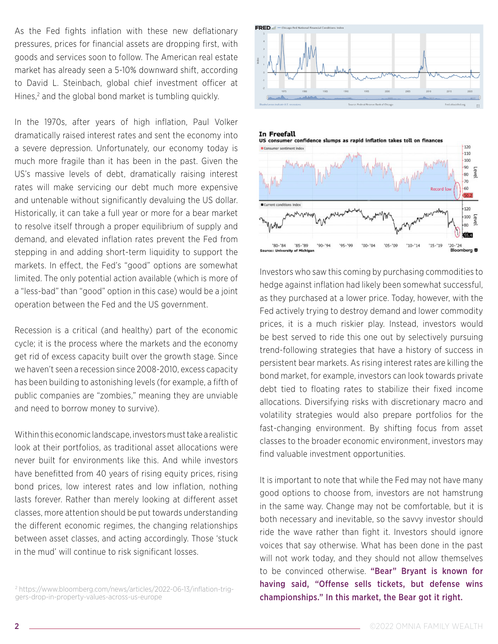As the Fed fights inflation with these new deflationary pressures, prices for financial assets are dropping first, with goods and services soon to follow. The American real estate market has already seen a 5-10% downward shift, according to David L. Steinbach, global chief investment officer at Hines,<sup>2</sup> and the global bond market is tumbling quickly.

In the 1970s, after years of high inflation, Paul Volker dramatically raised interest rates and sent the economy into a severe depression. Unfortunately, our economy today is much more fragile than it has been in the past. Given the US's massive levels of debt, dramatically raising interest rates will make servicing our debt much more expensive and untenable without significantly devaluing the US dollar. Historically, it can take a full year or more for a bear market to resolve itself through a proper equilibrium of supply and demand, and elevated inflation rates prevent the Fed from stepping in and adding short-term liquidity to support the markets. In effect, the Fed's "good" options are somewhat limited. The only potential action available (which is more of a "less-bad" than "good" option in this case) would be a joint operation between the Fed and the US government.

Recession is a critical (and healthy) part of the economic cycle; it is the process where the markets and the economy get rid of excess capacity built over the growth stage. Since we haven't seen a recession since 2008-2010, excess capacity has been building to astonishing levels (for example, a fifth of public companies are "zombies," meaning they are unviable and need to borrow money to survive).

Within this economic landscape, investors must take a realistic look at their portfolios, as traditional asset allocations were never built for environments like this. And while investors have benefitted from 40 years of rising equity prices, rising bond prices, low interest rates and low inflation, nothing lasts forever. Rather than merely looking at different asset classes, more attention should be put towards understanding the different economic regimes, the changing relationships between asset classes, and acting accordingly. Those 'stuck in the mud' will continue to risk significant losses.

2 https://www.bloomberg.com/news/articles/2022-06-13/inflation-triggers-drop-in-property-values-across-us-europe





Investors who saw this coming by purchasing commodities to hedge against inflation had likely been somewhat successful, as they purchased at a lower price. Today, however, with the Fed actively trying to destroy demand and lower commodity prices, it is a much riskier play. Instead, investors would be best served to ride this one out by selectively pursuing trend-following strategies that have a history of success in persistent bear markets. As rising interest rates are killing the bond market, for example, investors can look towards private debt tied to floating rates to stabilize their fixed income allocations. Diversifying risks with discretionary macro and volatility strategies would also prepare portfolios for the fast-changing environment. By shifting focus from asset classes to the broader economic environment, investors may find valuable investment opportunities.

It is important to note that while the Fed may not have many good options to choose from, investors are not hamstrung in the same way. Change may not be comfortable, but it is both necessary and inevitable, so the savvy investor should ride the wave rather than fight it. Investors should ignore voices that say otherwise. What has been done in the past will not work today, and they should not allow themselves to be convinced otherwise. "Bear" Bryant is known for having said, "Offense sells tickets, but defense wins championships." In this market, the Bear got it right.